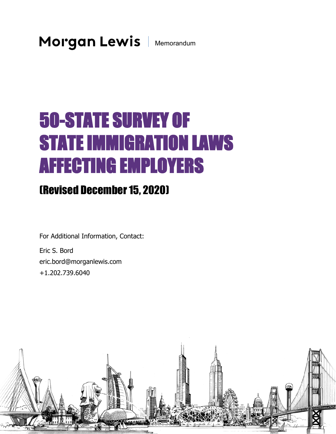# 50-STATE SURVEY OF STATE IMMIGRATION LAWS AFFECTING EMPLOYERS

# (Revised December 15, 2020)

For Additional Information, Contact:

Eric S. Bord eric.bord@morganlewis.com +1.202.739.6040

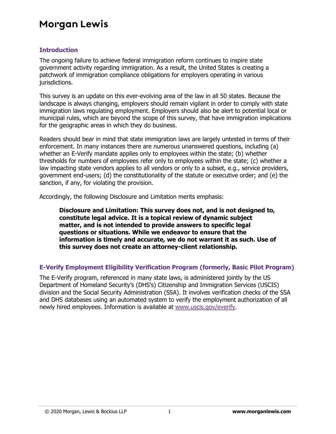#### **Introduction**

The ongoing failure to achieve federal immigration reform continues to inspire state government activity regarding immigration. As a result, the United States is creating a patchwork of immigration compliance obligations for employers operating in various jurisdictions.

This survey is an update on this ever-evolving area of the law in all 50 states. Because the landscape is always changing, employers should remain vigilant in order to comply with state immigration laws regulating employment. Employers should also be alert to potential local or municipal rules, which are beyond the scope of this survey, that have immigration implications for the geographic areas in which they do business.

Readers should bear in mind that state immigration laws are largely untested in terms of their enforcement. In many instances there are numerous unanswered questions, including (a) whether an E-Verify mandate applies only to employees within the state; (b) whether thresholds for numbers of employees refer only to employees within the state; (c) whether a law impacting state vendors applies to all vendors or only to a subset, e.g., service providers, government end-users; (d) the constitutionality of the statute or executive order; and (e) the sanction, if any, for violating the provision.

Accordingly, the following Disclosure and Limitation merits emphasis:

**Disclosure and Limitation: This survey does not, and is not designed to, constitute legal advice. It is a topical review of dynamic subject matter, and is not intended to provide answers to specific legal questions or situations. While we endeavor to ensure that the information is timely and accurate, we do not warrant it as such. Use of this survey does not create an attorney-client relationship.** 

#### **E-Verify Employment Eligibility Verification Program (formerly, Basic Pilot Program)**

The E-Verify program, referenced in many state laws, is administered jointly by the US Department of Homeland Security's (DHS's) Citizenship and Immigration Services (USCIS) division and the Social Security Administration (SSA). It involves verification checks of the SSA and DHS databases using an automated system to verify the employment authorization of all newly hired employees. Information is available at [www.uscis.gov/everify.](http://www.uscis.gov/everify)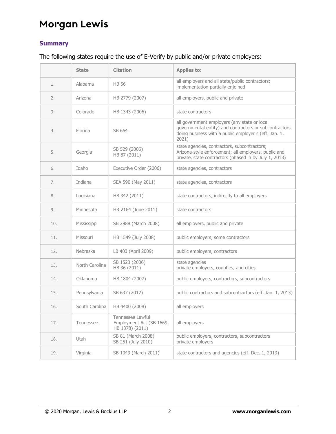#### **Summary**

#### The following states require the use of E-Verify by public and/or private employers:

|     | <b>State</b>   | <b>Citation</b>                                                 | <b>Applies to:</b>                                                                                                                                                       |
|-----|----------------|-----------------------------------------------------------------|--------------------------------------------------------------------------------------------------------------------------------------------------------------------------|
| 1.  | Alabama        | <b>HB 56</b>                                                    | all employers and all state/public contractors;<br>implementation partially enjoined                                                                                     |
| 2.  | Arizona        | HB 2779 (2007)                                                  | all employers, public and private                                                                                                                                        |
| 3.  | Colorado       | HB 1343 (2006)                                                  | state contractors                                                                                                                                                        |
| 4.  | Florida        | SB 664                                                          | all government employers (any state or local<br>governmental entity) and contractors or subcontractors<br>doing business with a public employer s (eff. Jan. 1,<br>2021) |
| 5.  | Georgia        | SB 529 (2006)<br>HB 87 (2011)                                   | state agencies, contractors, subcontractors;<br>Arizona-style enforcement; all employers, public and<br>private, state contractors (phased in by July 1, 2013)           |
| 6.  | Idaho          | Executive Order (2006)                                          | state agencies, contractors                                                                                                                                              |
| 7.  | Indiana        | SEA 590 (May 2011)                                              | state agencies, contractors                                                                                                                                              |
| 8.  | Louisiana      | HB 342 (2011)                                                   | state contractors, indirectly to all employers                                                                                                                           |
| 9.  | Minnesota      | HR 2164 (June 2011)                                             | state contractors                                                                                                                                                        |
| 10. | Mississippi    | SB 2988 (March 2008)                                            | all employers, public and private                                                                                                                                        |
| 11. | Missouri       | HB 1549 (July 2008)                                             | public employers, some contractors                                                                                                                                       |
| 12. | Nebraska       | LB 403 (April 2009)                                             | public employers, contractors                                                                                                                                            |
| 13. | North Carolina | SB 1523 (2006)<br>HB 36 (2011)                                  | state agencies<br>private employers, counties, and cities                                                                                                                |
| 14. | Oklahoma       | HB 1804 (2007)                                                  | public employers, contractors, subcontractors                                                                                                                            |
| 15. | Pennsylvania   | SB 637 (2012)                                                   | public contractors and subcontractors (eff. Jan. 1, 2013)                                                                                                                |
| 16. | South Carolina | HB 4400 (2008)                                                  | all employers                                                                                                                                                            |
| 17. | Tennessee      | Tennessee Lawful<br>Employment Act (SB 1669,<br>HB 1378) (2011) | all employers                                                                                                                                                            |
| 18. | Utah           | SB 81 (March 2008)<br>SB 251 (July 2010)                        | public employers, contractors, subcontractors<br>private employers                                                                                                       |
| 19. | Virginia       | SB 1049 (March 2011)                                            | state contractors and agencies (eff. Dec. 1, 2013)                                                                                                                       |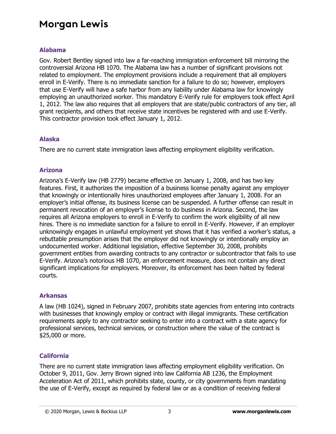#### **Alabama**

Gov. Robert Bentley signed into law a far-reaching immigration enforcement bill mirroring the controversial Arizona HB 1070. The Alabama law has a number of significant provisions not related to employment. The employment provisions include a requirement that all employers enroll in E-Verify. There is no immediate sanction for a failure to do so; however, employers that use E-Verify will have a safe harbor from any liability under Alabama law for knowingly employing an unauthorized worker. This mandatory E-Verify rule for employers took effect April 1, 2012. The law also requires that all employers that are state/public contractors of any tier, all grant recipients, and others that receive state incentives be registered with and use E-Verify. This contractor provision took effect January 1, 2012.

#### **Alaska**

There are no current state immigration laws affecting employment eligibility verification.

#### **Arizona**

Arizona's E-Verify law (HB 2779) became effective on January 1, 2008, and has two key features. First, it authorizes the imposition of a business license penalty against any employer that knowingly or intentionally hires unauthorized employees after January 1, 2008. For an employer's initial offense, its business license can be suspended. A further offense can result in permanent revocation of an employer's license to do business in Arizona. Second, the law requires all Arizona employers to enroll in E-Verify to confirm the work eligibility of all new hires. There is no immediate sanction for a failure to enroll in E-Verify. However, if an employer unknowingly engages in unlawful employment yet shows that it has verified a worker's status, a rebuttable presumption arises that the employer did not knowingly or intentionally employ an undocumented worker. Additional legislation, effective September 30, 2008, prohibits government entities from awarding contracts to any contractor or subcontractor that fails to use E-Verify. Arizona's notorious HB 1070, an enforcement measure, does not contain any direct significant implications for employers. Moreover, its enforcement has been halted by federal courts.

#### **Arkansas**

A law (HB 1024), signed in February 2007, prohibits state agencies from entering into contracts with businesses that knowingly employ or contract with illegal immigrants. These certification requirements apply to any contractor seeking to enter into a contract with a state agency for professional services, technical services, or construction where the value of the contract is \$25,000 or more.

#### **California**

There are no current state immigration laws affecting employment eligibility verification. On October 9, 2011, Gov. Jerry Brown signed into law California AB 1236, the Employment Acceleration Act of 2011, which prohibits state, county, or city governments from mandating the use of E-Verify, except as required by federal law or as a condition of receiving federal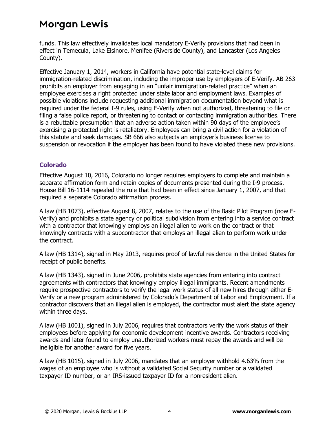funds. This law effectively invalidates local mandatory E-Verify provisions that had been in effect in Temecula, Lake Elsinore, Menifee (Riverside County), and Lancaster (Los Angeles County).

Effective January 1, 2014, workers in California have potential state-level claims for immigration-related discrimination, including the improper use by employers of E-Verify. AB 263 prohibits an employer from engaging in an "unfair immigration-related practice" when an employee exercises a right protected under state labor and employment laws. Examples of possible violations include requesting additional immigration documentation beyond what is required under the federal I-9 rules, using E-Verify when not authorized, threatening to file or filing a false police report, or threatening to contact or contacting immigration authorities. There is a rebuttable presumption that an adverse action taken within 90 days of the employee's exercising a protected right is retaliatory. Employees can bring a civil action for a violation of this statute and seek damages. SB 666 also subjects an employer's business license to suspension or revocation if the employer has been found to have violated these new provisions.

#### **Colorado**

Effective August 10, 2016, Colorado no longer requires employers to complete and maintain a separate affirmation form and retain copies of documents presented during the I-9 process. House Bill 16-1114 repealed the rule that had been in effect since January 1, 2007, and that required a separate Colorado affirmation process.

A law (HB 1073), effective August 8, 2007, relates to the use of the Basic Pilot Program (now E-Verify) and prohibits a state agency or political subdivision from entering into a service contract with a contractor that knowingly employs an illegal alien to work on the contract or that knowingly contracts with a subcontractor that employs an illegal alien to perform work under the contract.

A law (HB 1314), signed in May 2013, requires proof of lawful residence in the United States for receipt of public benefits.

A law (HB 1343), signed in June 2006, prohibits state agencies from entering into contract agreements with contractors that knowingly employ illegal immigrants. Recent amendments require prospective contractors to verify the legal work status of all new hires through either E-Verify or a new program administered by Colorado's Department of Labor and Employment. If a contractor discovers that an illegal alien is employed, the contractor must alert the state agency within three days.

A law (HB 1001), signed in July 2006, requires that contractors verify the work status of their employees before applying for economic development incentive awards. Contractors receiving awards and later found to employ unauthorized workers must repay the awards and will be ineligible for another award for five years.

A law (HB 1015), signed in July 2006, mandates that an employer withhold 4.63% from the wages of an employee who is without a validated Social Security number or a validated taxpayer ID number, or an IRS-issued taxpayer ID for a nonresident alien.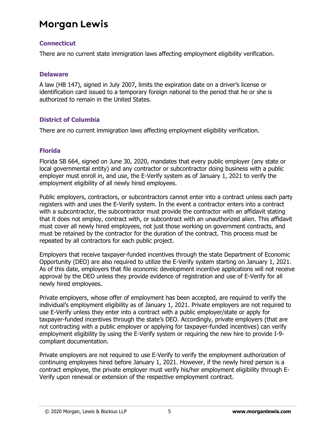#### **Connecticut**

There are no current state immigration laws affecting employment eligibility verification.

#### **Delaware**

A law (HB 147), signed in July 2007, limits the expiration date on a driver's license or identification card issued to a temporary foreign national to the period that he or she is authorized to remain in the United States.

#### **District of Columbia**

There are no current immigration laws affecting employment eligibility verification.

#### **Florida**

Florida SB 664, signed on June 30, 2020, mandates that every public employer (any state or local governmental entity) and any contractor or subcontractor doing business with a public employer must enroll in, and use, the E-Verify system as of January 1, 2021 to verify the employment eligibility of all newly hired employees.

Public employers, contractors, or subcontractors cannot enter into a contract unless each party registers with and uses the E-Verify system. In the event a contractor enters into a contract with a subcontractor, the subcontractor must provide the contractor with an affidavit stating that it does not employ, contract with, or subcontract with an unauthorized alien. This affidavit must cover all newly hired employees, not just those working on government contracts, and must be retained by the contractor for the duration of the contract. This process must be repeated by all contractors for each public project.

Employers that receive taxpayer-funded incentives through the state Department of Economic Opportunity (DEO) are also required to utilize the E-Verify system starting on January 1, 2021. As of this date, employers that file economic development incentive applications will not receive approval by the DEO unless they provide evidence of registration and use of E-Verify for all newly hired employees.

Private employers, whose offer of employment has been accepted, are required to verify the individual's employment eligibility as of January 1, 2021. Private employers are not required to use E-Verify unless they enter into a contract with a public employer/state or apply for taxpayer-funded incentives through the state's DEO. Accordingly, private employers (that are not contracting with a public employer or applying for taxpayer-funded incentives) can verify employment eligibility by using the E-Verify system or requiring the new hire to provide I-9 compliant documentation.

Private employers are not required to use E-Verify to verify the employment authorization of continuing employees hired before January 1, 2021. However, if the newly hired person is a contract employee, the private employer must verify his/her employment eligibility through E-Verify upon renewal or extension of the respective employment contract.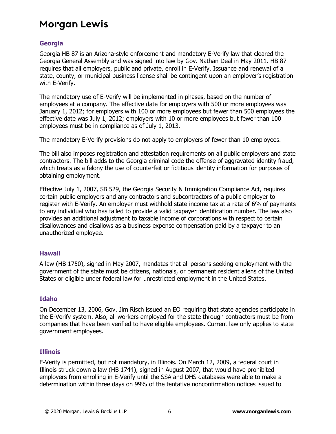#### **Georgia**

Georgia HB 87 is an Arizona-style enforcement and mandatory E-Verify law that cleared the Georgia General Assembly and was signed into law by Gov. Nathan Deal in May 2011. HB 87 requires that all employers, public and private, enroll in E-Verify. Issuance and renewal of a state, county, or municipal business license shall be contingent upon an employer's registration with E-Verify.

The mandatory use of E-Verify will be implemented in phases, based on the number of employees at a company. The effective date for employers with 500 or more employees was January 1, 2012; for employers with 100 or more employees but fewer than 500 employees the effective date was July 1, 2012; employers with 10 or more employees but fewer than 100 employees must be in compliance as of July 1, 2013.

The mandatory E-Verify provisions do not apply to employers of fewer than 10 employees.

The bill also imposes registration and attestation requirements on all public employers and state contractors. The bill adds to the Georgia criminal code the offense of aggravated identity fraud, which treats as a felony the use of counterfeit or fictitious identity information for purposes of obtaining employment.

Effective July 1, 2007, SB 529, the Georgia Security & Immigration Compliance Act, requires certain public employers and any contractors and subcontractors of a public employer to register with E-Verify. An employer must withhold state income tax at a rate of 6% of payments to any individual who has failed to provide a valid taxpayer identification number. The law also provides an additional adjustment to taxable income of corporations with respect to certain disallowances and disallows as a business expense compensation paid by a taxpayer to an unauthorized employee.

#### **Hawaii**

A law (HB 1750), signed in May 2007, mandates that all persons seeking employment with the government of the state must be citizens, nationals, or permanent resident aliens of the United States or eligible under federal law for unrestricted employment in the United States.

#### **Idaho**

On December 13, 2006, Gov. Jim Risch issued an EO requiring that state agencies participate in the E-Verify system. Also, all workers employed for the state through contractors must be from companies that have been verified to have eligible employees. Current law only applies to state government employees.

#### **Illinois**

E-Verify is permitted, but not mandatory, in Illinois. On March 12, 2009, a federal court in Illinois struck down a law (HB 1744), signed in August 2007, that would have prohibited employers from enrolling in E-Verify until the SSA and DHS databases were able to make a determination within three days on 99% of the tentative nonconfirmation notices issued to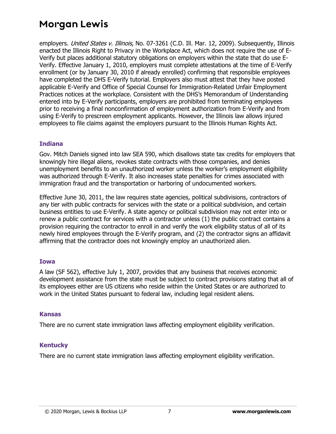employers. United States v. Illinois, No. 07-3261 (C.D. Ill. Mar. 12, 2009). Subsequently, Illinois enacted the Illinois Right to Privacy in the Workplace Act, which does not require the use of E-Verify but places additional statutory obligations on employers within the state that do use E-Verify. Effective January 1, 2010, employers must complete attestations at the time of E-Verify enrollment (or by January 30, 2010 if already enrolled) confirming that responsible employees have completed the DHS E-Verify tutorial. Employers also must attest that they have posted applicable E-Verify and Office of Special Counsel for Immigration-Related Unfair Employment Practices notices at the workplace. Consistent with the DHS's Memorandum of Understanding entered into by E-Verify participants, employers are prohibited from terminating employees prior to receiving a final nonconfirmation of employment authorization from E-Verify and from using E-Verify to prescreen employment applicants. However, the Illinois law allows injured employees to file claims against the employers pursuant to the Illinois Human Rights Act.

#### **Indiana**

Gov. Mitch Daniels signed into law SEA 590, which disallows state tax credits for employers that knowingly hire illegal aliens, revokes state contracts with those companies, and denies unemployment benefits to an unauthorized worker unless the worker's employment eligibility was authorized through E-Verify. It also increases state penalties for crimes associated with immigration fraud and the transportation or harboring of undocumented workers.

Effective June 30, 2011, the law requires state agencies, political subdivisions, contractors of any tier with public contracts for services with the state or a political subdivision, and certain business entities to use E-Verify. A state agency or political subdivision may not enter into or renew a public contract for services with a contractor unless (1) the public contract contains a provision requiring the contractor to enroll in and verify the work eligibility status of all of its newly hired employees through the E-Verify program, and (2) the contractor signs an affidavit affirming that the contractor does not knowingly employ an unauthorized alien.

#### **Iowa**

A law (SF 562), effective July 1, 2007, provides that any business that receives economic development assistance from the state must be subject to contract provisions stating that all of its employees either are US citizens who reside within the United States or are authorized to work in the United States pursuant to federal law, including legal resident aliens.

#### **Kansas**

There are no current state immigration laws affecting employment eligibility verification.

#### **Kentucky**

There are no current state immigration laws affecting employment eligibility verification.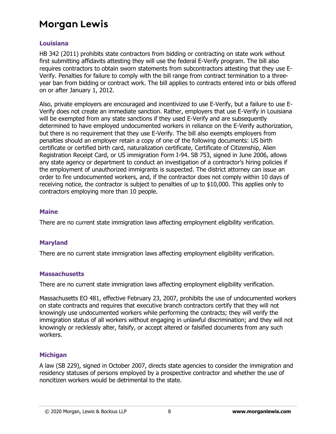#### **Louisiana**

HB 342 (2011) prohibits state contractors from bidding or contracting on state work without first submitting affidavits attesting they will use the federal E-Verify program. The bill also requires contractors to obtain sworn statements from subcontractors attesting that they use E-Verify. Penalties for failure to comply with the bill range from contract termination to a threeyear ban from bidding or contract work. The bill applies to contracts entered into or bids offered on or after January 1, 2012.

Also, private employers are encouraged and incentivized to use E-Verify, but a failure to use E-Verify does not create an immediate sanction. Rather, employers that use E-Verify in Louisiana will be exempted from any state sanctions if they used E-Verify and are subsequently determined to have employed undocumented workers in reliance on the E-Verify authorization, but there is no requirement that they use E-Verify. The bill also exempts employers from penalties should an employer retain a copy of one of the following documents: US birth certificate or certified birth card, naturalization certificate, Certificate of Citizenship, Alien Registration Receipt Card, or US immigration Form I-94. SB 753, signed in June 2006, allows any state agency or department to conduct an investigation of a contractor's hiring policies if the employment of unauthorized immigrants is suspected. The district attorney can issue an order to fire undocumented workers, and, if the contractor does not comply within 10 days of receiving notice, the contractor is subject to penalties of up to \$10,000. This applies only to contractors employing more than 10 people.

#### **Maine**

There are no current state immigration laws affecting employment eligibility verification.

#### **Maryland**

There are no current state immigration laws affecting employment eligibility verification.

#### **Massachusetts**

There are no current state immigration laws affecting employment eligibility verification.

Massachusetts EO 481, effective February 23, 2007, prohibits the use of undocumented workers on state contracts and requires that executive branch contractors certify that they will not knowingly use undocumented workers while performing the contracts; they will verify the immigration status of all workers without engaging in unlawful discrimination; and they will not knowingly or recklessly alter, falsify, or accept altered or falsified documents from any such workers.

#### **Michigan**

A law (SB 229), signed in October 2007, directs state agencies to consider the immigration and residency statuses of persons employed by a prospective contractor and whether the use of noncitizen workers would be detrimental to the state.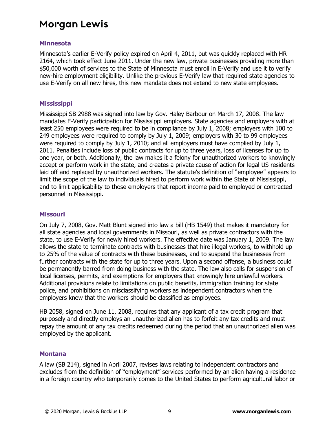#### **Minnesota**

Minnesota's earlier E-Verify policy expired on April 4, 2011, but was quickly replaced with HR 2164, which took effect June 2011. Under the new law, private businesses providing more than \$50,000 worth of services to the State of Minnesota must enroll in E-Verify and use it to verify new-hire employment eligibility. Unlike the previous E-Verify law that required state agencies to use E-Verify on all new hires, this new mandate does not extend to new state employees.

#### **Mississippi**

Mississippi SB 2988 was signed into law by Gov. Haley Barbour on March 17, 2008. The law mandates E-Verify participation for Mississippi employers. State agencies and employers with at least 250 employees were required to be in compliance by July 1, 2008; employers with 100 to 249 employees were required to comply by July 1, 2009; employers with 30 to 99 employees were required to comply by July 1, 2010; and all employers must have complied by July 1, 2011. Penalties include loss of public contracts for up to three years, loss of licenses for up to one year, or both. Additionally, the law makes it a felony for unauthorized workers to knowingly accept or perform work in the state, and creates a private cause of action for legal US residents laid off and replaced by unauthorized workers. The statute's definition of "employee" appears to limit the scope of the law to individuals hired to perform work within the State of Mississippi, and to limit applicability to those employers that report income paid to employed or contracted personnel in Mississippi.

#### **Missouri**

On July 7, 2008, Gov. Matt Blunt signed into law a bill (HB 1549) that makes it mandatory for all state agencies and local governments in Missouri, as well as private contractors with the state, to use E-Verify for newly hired workers. The effective date was January 1, 2009. The law allows the state to terminate contracts with businesses that hire illegal workers, to withhold up to 25% of the value of contracts with these businesses, and to suspend the businesses from further contracts with the state for up to three years. Upon a second offense, a business could be permanently barred from doing business with the state. The law also calls for suspension of local licenses, permits, and exemptions for employers that knowingly hire unlawful workers. Additional provisions relate to limitations on public benefits, immigration training for state police, and prohibitions on misclassifying workers as independent contractors when the employers knew that the workers should be classified as employees.

HB 2058, signed on June 11, 2008, requires that any applicant of a tax credit program that purposely and directly employs an unauthorized alien has to forfeit any tax credits and must repay the amount of any tax credits redeemed during the period that an unauthorized alien was employed by the applicant.

#### **Montana**

A law (SB 214), signed in April 2007, revises laws relating to independent contractors and excludes from the definition of "employment" services performed by an alien having a residence in a foreign country who temporarily comes to the United States to perform agricultural labor or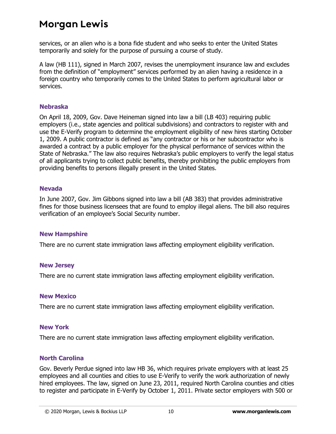services, or an alien who is a bona fide student and who seeks to enter the United States temporarily and solely for the purpose of pursuing a course of study.

A law (HB 111), signed in March 2007, revises the unemployment insurance law and excludes from the definition of "employment" services performed by an alien having a residence in a foreign country who temporarily comes to the United States to perform agricultural labor or services.

#### **Nebraska**

On April 18, 2009, Gov. Dave Heineman signed into law a bill (LB 403) requiring public employers (i.e., state agencies and political subdivisions) and contractors to register with and use the E-Verify program to determine the employment eligibility of new hires starting October 1, 2009. A public contractor is defined as "any contractor or his or her subcontractor who is awarded a contract by a public employer for the physical performance of services within the State of Nebraska." The law also requires Nebraska's public employers to verify the legal status of all applicants trying to collect public benefits, thereby prohibiting the public employers from providing benefits to persons illegally present in the United States.

#### **Nevada**

In June 2007, Gov. Jim Gibbons signed into law a bill (AB 383) that provides administrative fines for those business licensees that are found to employ illegal aliens. The bill also requires verification of an employee's Social Security number.

#### **New Hampshire**

There are no current state immigration laws affecting employment eligibility verification.

#### **New Jersey**

There are no current state immigration laws affecting employment eligibility verification.

#### **New Mexico**

There are no current state immigration laws affecting employment eligibility verification.

#### **New York**

There are no current state immigration laws affecting employment eligibility verification.

#### **North Carolina**

Gov. Beverly Perdue signed into law HB 36, which requires private employers with at least 25 employees and all counties and cities to use E-Verify to verify the work authorization of newly hired employees. The law, signed on June 23, 2011, required North Carolina counties and cities to register and participate in E-Verify by October 1, 2011. Private sector employers with 500 or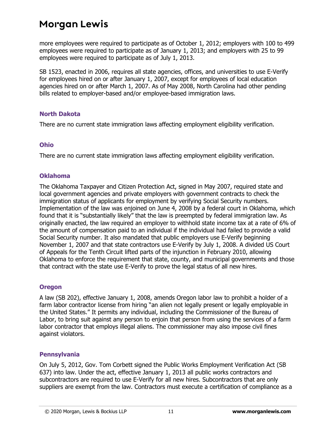more employees were required to participate as of October 1, 2012; employers with 100 to 499 employees were required to participate as of January 1, 2013; and employers with 25 to 99 employees were required to participate as of July 1, 2013.

SB 1523, enacted in 2006, requires all state agencies, offices, and universities to use E-Verify for employees hired on or after January 1, 2007, except for employees of local education agencies hired on or after March 1, 2007. As of May 2008, North Carolina had other pending bills related to employer-based and/or employee-based immigration laws.

#### **North Dakota**

There are no current state immigration laws affecting employment eligibility verification.

#### **Ohio**

There are no current state immigration laws affecting employment eligibility verification.

#### **Oklahoma**

The Oklahoma Taxpayer and Citizen Protection Act, signed in May 2007, required state and local government agencies and private employers with government contracts to check the immigration status of applicants for employment by verifying Social Security numbers. Implementation of the law was enjoined on June 4, 2008 by a federal court in Oklahoma, which found that it is "substantially likely" that the law is preempted by federal immigration law. As originally enacted, the law required an employer to withhold state income tax at a rate of 6% of the amount of compensation paid to an individual if the individual had failed to provide a valid Social Security number. It also mandated that public employers use E-Verify beginning November 1, 2007 and that state contractors use E-Verify by July 1, 2008. A divided US Court of Appeals for the Tenth Circuit lifted parts of the injunction in February 2010, allowing Oklahoma to enforce the requirement that state, county, and municipal governments and those that contract with the state use E-Verify to prove the legal status of all new hires.

#### **Oregon**

A law (SB 202), effective January 1, 2008, amends Oregon labor law to prohibit a holder of a farm labor contractor license from hiring "an alien not legally present or legally employable in the United States." It permits any individual, including the Commissioner of the Bureau of Labor, to bring suit against any person to enjoin that person from using the services of a farm labor contractor that employs illegal aliens. The commissioner may also impose civil fines against violators.

#### **Pennsylvania**

On July 5, 2012, Gov. Tom Corbett signed the Public Works Employment Verification Act (SB 637) into law. Under the act, effective January 1, 2013 all public works contractors and subcontractors are required to use E-Verify for all new hires. Subcontractors that are only suppliers are exempt from the law. Contractors must execute a certification of compliance as a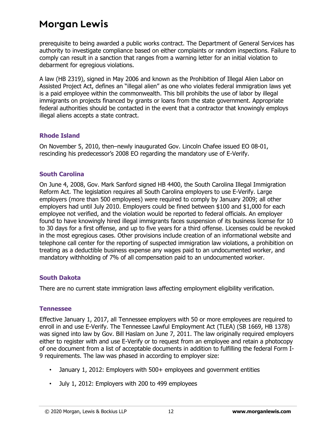prerequisite to being awarded a public works contract. The Department of General Services has authority to investigate compliance based on either complaints or random inspections. Failure to comply can result in a sanction that ranges from a warning letter for an initial violation to debarment for egregious violations.

A law (HB 2319), signed in May 2006 and known as the Prohibition of Illegal Alien Labor on Assisted Project Act, defines an "illegal alien" as one who violates federal immigration laws yet is a paid employee within the commonwealth. This bill prohibits the use of labor by illegal immigrants on projects financed by grants or loans from the state government. Appropriate federal authorities should be contacted in the event that a contractor that knowingly employs illegal aliens accepts a state contract.

#### **Rhode Island**

On November 5, 2010, then–newly inaugurated Gov. Lincoln Chafee issued EO 08-01, rescinding his predecessor's 2008 EO regarding the mandatory use of E-Verify.

#### **South Carolina**

On June 4, 2008, Gov. Mark Sanford signed HB 4400, the South Carolina Illegal Immigration Reform Act. The legislation requires all South Carolina employers to use E-Verify. Large employers (more than 500 employees) were required to comply by January 2009; all other employers had until July 2010. Employers could be fined between \$100 and \$1,000 for each employee not verified, and the violation would be reported to federal officials. An employer found to have knowingly hired illegal immigrants faces suspension of its business license for 10 to 30 days for a first offense, and up to five years for a third offense. Licenses could be revoked in the most egregious cases. Other provisions include creation of an informational website and telephone call center for the reporting of suspected immigration law violations, a prohibition on treating as a deductible business expense any wages paid to an undocumented worker, and mandatory withholding of 7% of all compensation paid to an undocumented worker.

#### **South Dakota**

There are no current state immigration laws affecting employment eligibility verification.

#### **Tennessee**

Effective January 1, 2017, all Tennessee employers with 50 or more employees are required to enroll in and use E-Verify. The Tennessee Lawful Employment Act (TLEA) (SB 1669, HB 1378) was signed into law by Gov. Bill Haslam on June 7, 2011. The law originally required employers either to register with and use E-Verify or to request from an employee and retain a photocopy of one document from a list of acceptable documents in addition to fulfilling the federal Form I-9 requirements. The law was phased in according to employer size:

- January 1, 2012: Employers with 500+ employees and government entities
- July 1, 2012: Employers with 200 to 499 employees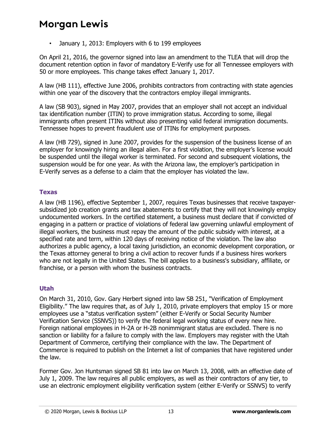• January 1, 2013: Employers with 6 to 199 employees

On April 21, 2016, the governor signed into law an amendment to the TLEA that will drop the document retention option in favor of mandatory E-Verify use for all Tennessee employers with 50 or more employees. This change takes effect January 1, 2017.

A law (HB 111), effective June 2006, prohibits contractors from contracting with state agencies within one year of the discovery that the contractors employ illegal immigrants.

A law (SB 903), signed in May 2007, provides that an employer shall not accept an individual tax identification number (ITIN) to prove immigration status. According to some, illegal immigrants often present ITINs without also presenting valid federal immigration documents. Tennessee hopes to prevent fraudulent use of ITINs for employment purposes.

A law (HB 729), signed in June 2007, provides for the suspension of the business license of an employer for knowingly hiring an illegal alien. For a first violation, the employer's license would be suspended until the illegal worker is terminated. For second and subsequent violations, the suspension would be for one year. As with the Arizona law, the employer's participation in E-Verify serves as a defense to a claim that the employer has violated the law.

#### **Texas**

A law (HB 1196), effective September 1, 2007, requires Texas businesses that receive taxpayersubsidized job creation grants and tax abatements to certify that they will not knowingly employ undocumented workers. In the certified statement, a business must declare that if convicted of engaging in a pattern or practice of violations of federal law governing unlawful employment of illegal workers, the business must repay the amount of the public subsidy with interest, at a specified rate and term, within 120 days of receiving notice of the violation. The law also authorizes a public agency, a local taxing jurisdiction, an economic development corporation, or the Texas attorney general to bring a civil action to recover funds if a business hires workers who are not legally in the United States. The bill applies to a business's subsidiary, affiliate, or franchise, or a person with whom the business contracts.

#### **Utah**

On March 31, 2010, Gov. Gary Herbert signed into law SB 251, "Verification of Employment Eligibility." The law requires that, as of July 1, 2010, private employers that employ 15 or more employees use a "status verification system" (either E-Verify or Social Security Number Verification Service (SSNVS)) to verify the federal legal working status of every new hire. Foreign national employees in H-2A or H-2B nonimmigrant status are excluded. There is no sanction or liability for a failure to comply with the law. Employers may register with the Utah Department of Commerce, certifying their compliance with the law. The Department of Commerce is required to publish on the Internet a list of companies that have registered under the law.

Former Gov. Jon Huntsman signed SB 81 into law on March 13, 2008, with an effective date of July 1, 2009. The law requires all public employers, as well as their contractors of any tier, to use an electronic employment eligibility verification system (either E-Verify or SSNVS) to verify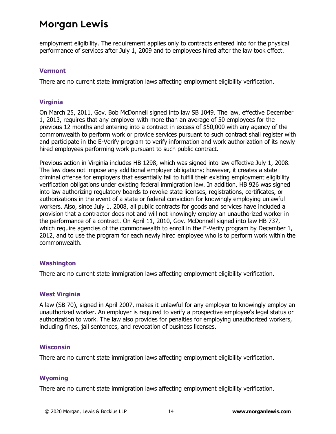employment eligibility. The requirement applies only to contracts entered into for the physical performance of services after July 1, 2009 and to employees hired after the law took effect.

#### **Vermont**

There are no current state immigration laws affecting employment eligibility verification.

#### **Virginia**

On March 25, 2011, Gov. Bob McDonnell signed into law SB 1049. The law, effective December 1, 2013, requires that any employer with more than an average of 50 employees for the previous 12 months and entering into a contract in excess of \$50,000 with any agency of the commonwealth to perform work or provide services pursuant to such contract shall register with and participate in the E-Verify program to verify information and work authorization of its newly hired employees performing work pursuant to such public contract.

Previous action in Virginia includes HB 1298, which was signed into law effective July 1, 2008. The law does not impose any additional employer obligations; however, it creates a state criminal offense for employers that essentially fail to fulfill their existing employment eligibility verification obligations under existing federal immigration law. In addition, HB 926 was signed into law authorizing regulatory boards to revoke state licenses, registrations, certificates, or authorizations in the event of a state or federal conviction for knowingly employing unlawful workers. Also, since July 1, 2008, all public contracts for goods and services have included a provision that a contractor does not and will not knowingly employ an unauthorized worker in the performance of a contract. On April 11, 2010, Gov. McDonnell signed into law HB 737, which require agencies of the commonwealth to enroll in the E-Verify program by December 1, 2012, and to use the program for each newly hired employee who is to perform work within the commonwealth.

#### **Washington**

There are no current state immigration laws affecting employment eligibility verification.

#### **West Virginia**

A law (SB 70), signed in April 2007, makes it unlawful for any employer to knowingly employ an unauthorized worker. An employer is required to verify a prospective employee's legal status or authorization to work. The law also provides for penalties for employing unauthorized workers, including fines, jail sentences, and revocation of business licenses.

#### **Wisconsin**

There are no current state immigration laws affecting employment eligibility verification.

#### **Wyoming**

There are no current state immigration laws affecting employment eligibility verification.